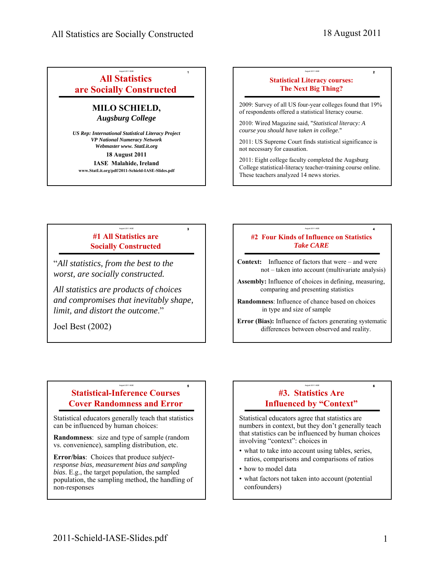August 2011 IASE **2**

# August 2011 IASE **1 All Statistics are Socially Constructed**

# **MILO SCHIELD,**  *Augsburg College*

*US Rep: International Statistical Literacy Project VP National Numeracy Network Webmaster www. StatLit.org* **18 August 2011 IASE Malahide, Ireland www.StatLit.org/pdf/2011-Schield-IASE-Slides.pdf**

# **Statistical Literacy courses: The Next Big Thing?**

2009: Survey of all US four-year colleges found that 19% of respondents offered a statistical literacy course.

2010: Wired Magazine said, "*Statistical literacy: A course you should have taken in college*."

2011: US Supreme Court finds statistical significance is not necessary for causation.

2011: Eight college faculty completed the Augsburg College statistical-literacy teacher-training course online. These teachers analyzed 14 news stories.

# August 2011 IASE **3 #1 All Statistics are Socially Constructed**

"*All statistics, from the best to the worst, are socially constructed.* 

*All statistics are products of choices and compromises that inevitably shape, limit, and distort the outcome*."

Joel Best (2002)

#### August 2011 IASE **4 #2 Four Kinds of Influence on Statistics** *Take CARE*

**Context:** Influence of factors that were – and were not – taken into account (multivariate analysis)

**Assembly:** Influence of choices in defining, measuring, comparing and presenting statistics

**Randomness**: Influence of chance based on choices in type and size of sample

**Error (Bias):** Influence of factors generating systematic differences between observed and reality.

#### August 2011 IASE **5 Statistical-Inference Courses Cover Randomness and Error**

Statistical educators generally teach that statistics can be influenced by human choices:

**Randomness**: size and type of sample (random vs. convenience), sampling distribution, etc.

**Error/bias**: Choices that produce *subjectresponse bias, measurement bias and sampling bias*. E.g., the target population, the sampled population, the sampling method, the handling of non-responses

#### August 2011 IASE **6 #3. Statistics Are Influenced by "Context"**

Statistical educators agree that statistics are numbers in context, but they don't generally teach that statistics can be influenced by human choices involving "context": choices in

- what to take into account using tables, series, ratios, comparisons and comparisons of ratios
- how to model data
- what factors not taken into account (potential confounders)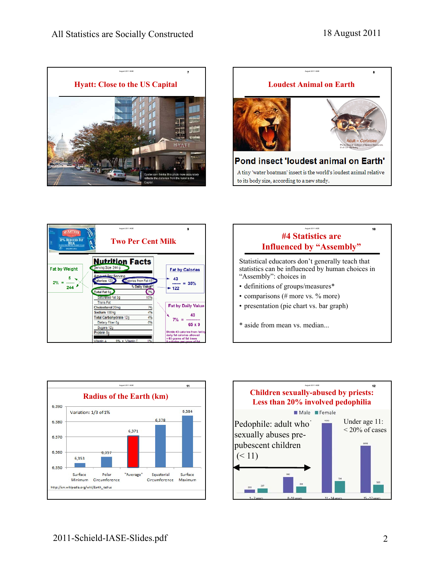









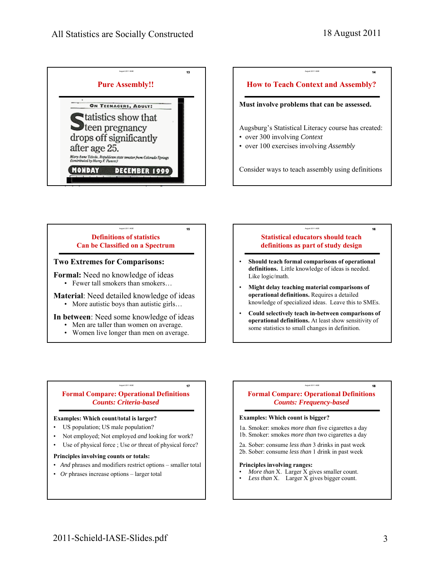August 2011 IASE **14**



# **How to Teach Context and Assembly? Must involve problems that can be assessed.**

- Augsburg's Statistical Literacy course has created:
- over 300 involving *Context*
- over 100 exercises involving *Assembly*

Consider ways to teach assembly using definitions

# August 2011 IASE **15 Definitions of statistics Can be Classified on a Spectrum**

### **Two Extremes for Comparisons:**

**Formal:** Need no knowledge of ideas • Fewer tall smokers than smokers…

**Material**: Need detailed knowledge of ideas • More autistic boys than autistic girls...

**In between**: Need some knowledge of ideas

- Men are taller than women on average.
- Women live longer than men on average.

#### August 2011 IASE **16 Statistical educators should teach definitions as part of study design**

- **Should teach formal comparisons of operational definitions.** Little knowledge of ideas is needed. Like logic/math.
- **Might delay teaching material comparisons of operational definitions.** Requires a detailed knowledge of specialized ideas. Leave this to SMEs.
- **Could selectively teach in-between comparisons of operational definitions.** At least show sensitivity of some statistics to small changes in definition.

# **Formal Compare: Operational Definitions** *Counts: Criteria-based*

August 2011 IASE **17**

### **Examples: Which count/total is larger?**

- US population; US male population?
- Not employed; Not employed *and* looking for work?
- Use of physical force ; Use or threat of physical force?

### **Principles involving counts or totals:**

- *And* phrases and modifiers restrict options smaller total
- *Or* phrases increase options larger total

# **Formal Compare: Operational Definitions** *Counts: Frequency-based*

August 2011 IASE **18**

### **Examples: Which count is bigger?**

- 1a. Smoker: smokes *more than* five cigarettes a day 1b. Smoker: smokes *more than* two cigarettes a day
- 2a. Sober: consume *less than* 3 drinks in past week
- 2b. Sober: consume *less than* 1 drink in past week

#### **Principles involving ranges:**

- *More than* X. Larger X gives smaller count.
- *Less than* X. Larger X gives bigger count.